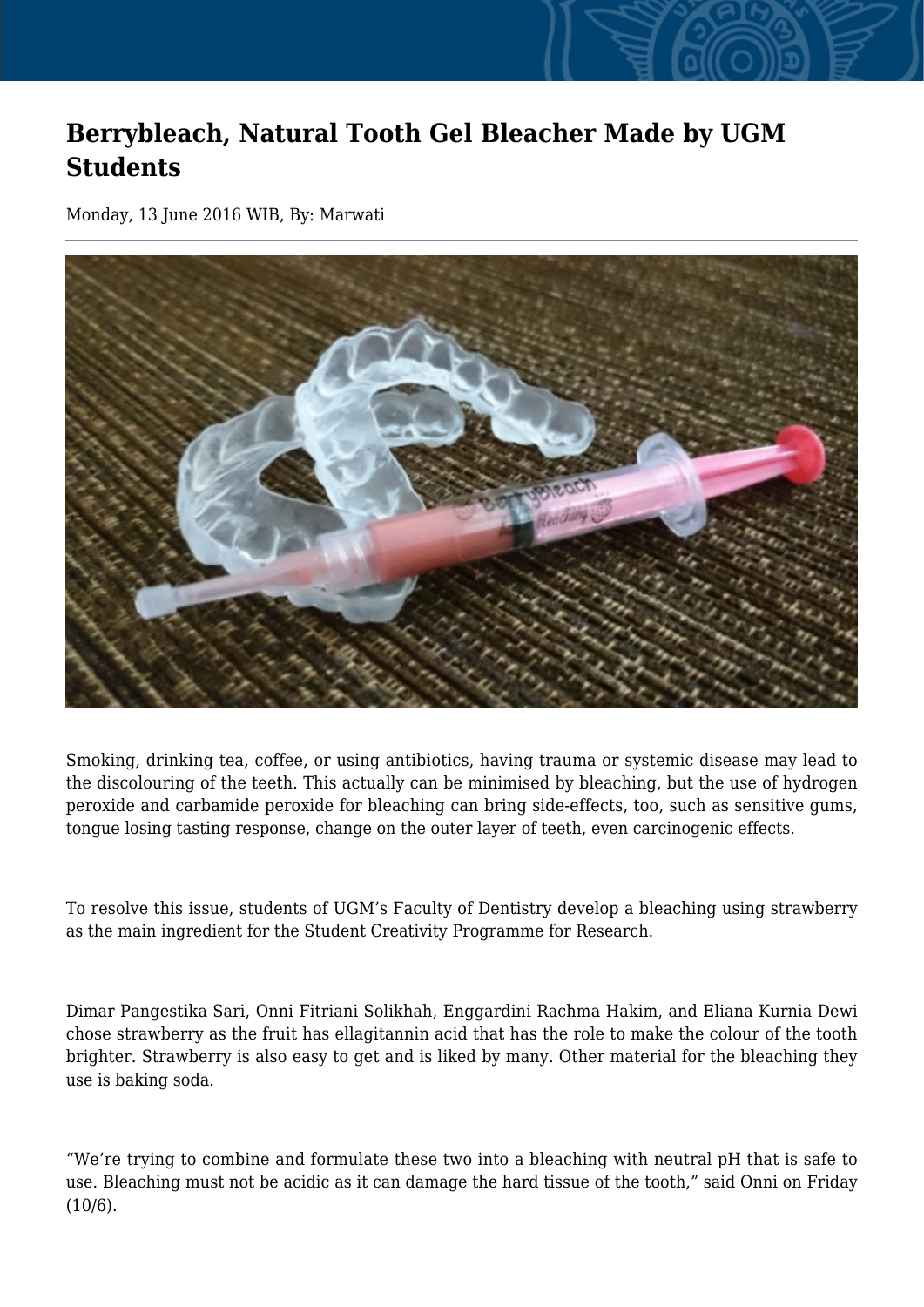## **Berrybleach, Natural Tooth Gel Bleacher Made by UGM Students**

Monday, 13 June 2016 WIB, By: Marwati



Smoking, drinking tea, coffee, or using antibiotics, having trauma or systemic disease may lead to the discolouring of the teeth. This actually can be minimised by bleaching, but the use of hydrogen peroxide and carbamide peroxide for bleaching can bring side-effects, too, such as sensitive gums, tongue losing tasting response, change on the outer layer of teeth, even carcinogenic effects.

To resolve this issue, students of UGM's Faculty of Dentistry develop a bleaching using strawberry as the main ingredient for the Student Creativity Programme for Research.

Dimar Pangestika Sari, Onni Fitriani Solikhah, Enggardini Rachma Hakim, and Eliana Kurnia Dewi chose strawberry as the fruit has ellagitannin acid that has the role to make the colour of the tooth brighter. Strawberry is also easy to get and is liked by many. Other material for the bleaching they use is baking soda.

"We're trying to combine and formulate these two into a bleaching with neutral pH that is safe to use. Bleaching must not be acidic as it can damage the hard tissue of the tooth," said Onni on Friday (10/6).